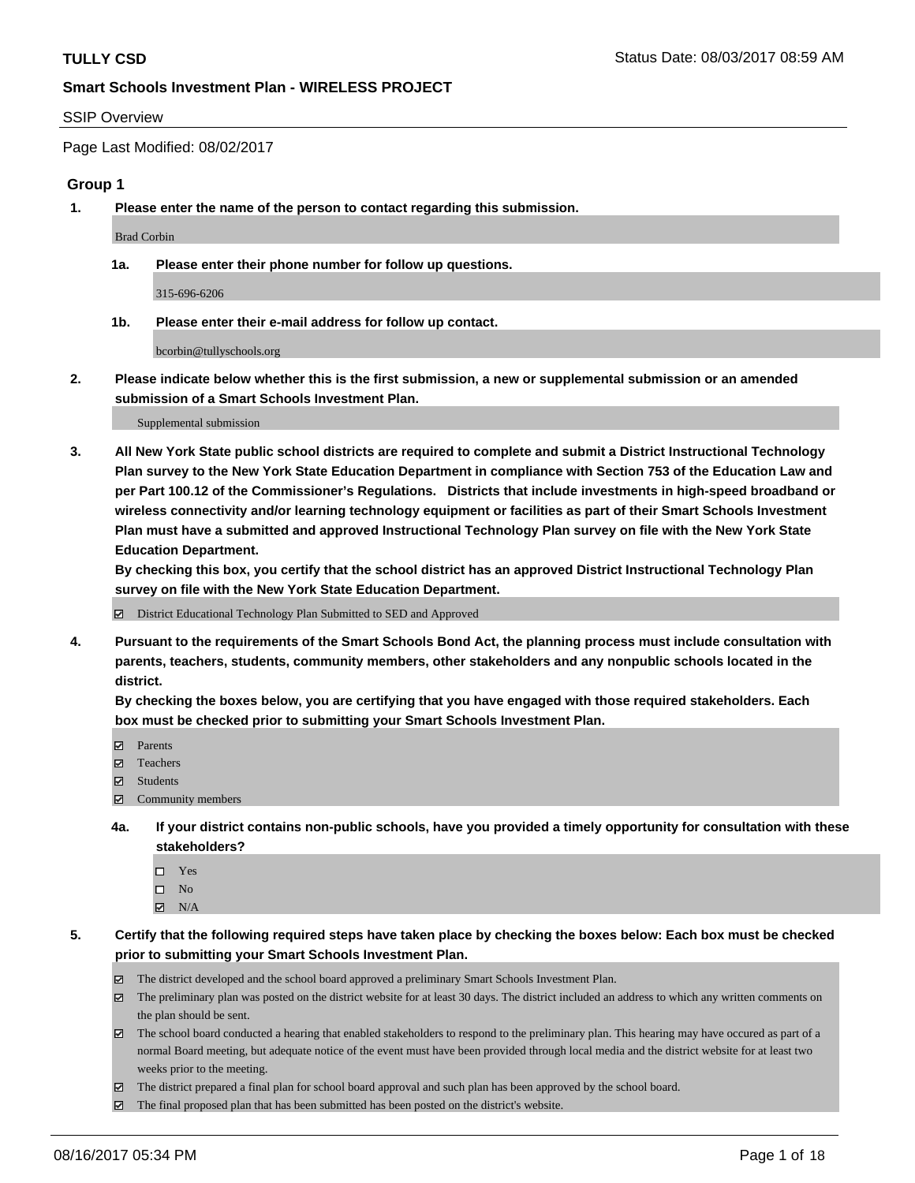#### SSIP Overview

Page Last Modified: 08/02/2017

#### **Group 1**

**1. Please enter the name of the person to contact regarding this submission.**

Brad Corbin

**1a. Please enter their phone number for follow up questions.**

315-696-6206

**1b. Please enter their e-mail address for follow up contact.**

bcorbin@tullyschools.org

**2. Please indicate below whether this is the first submission, a new or supplemental submission or an amended submission of a Smart Schools Investment Plan.**

Supplemental submission

**3. All New York State public school districts are required to complete and submit a District Instructional Technology Plan survey to the New York State Education Department in compliance with Section 753 of the Education Law and per Part 100.12 of the Commissioner's Regulations. Districts that include investments in high-speed broadband or wireless connectivity and/or learning technology equipment or facilities as part of their Smart Schools Investment Plan must have a submitted and approved Instructional Technology Plan survey on file with the New York State Education Department.** 

**By checking this box, you certify that the school district has an approved District Instructional Technology Plan survey on file with the New York State Education Department.**

District Educational Technology Plan Submitted to SED and Approved

**4. Pursuant to the requirements of the Smart Schools Bond Act, the planning process must include consultation with parents, teachers, students, community members, other stakeholders and any nonpublic schools located in the district.** 

**By checking the boxes below, you are certifying that you have engaged with those required stakeholders. Each box must be checked prior to submitting your Smart Schools Investment Plan.**

- **マ** Parents
- □ Teachers
- Students
- $\Xi$  Community members
- **4a. If your district contains non-public schools, have you provided a timely opportunity for consultation with these stakeholders?**
	- Yes
	- $\hfill \square$  No
	- $\boxtimes$  N/A
- **5. Certify that the following required steps have taken place by checking the boxes below: Each box must be checked prior to submitting your Smart Schools Investment Plan.**
	- The district developed and the school board approved a preliminary Smart Schools Investment Plan.
	- $\boxtimes$  The preliminary plan was posted on the district website for at least 30 days. The district included an address to which any written comments on the plan should be sent.
	- $\boxtimes$  The school board conducted a hearing that enabled stakeholders to respond to the preliminary plan. This hearing may have occured as part of a normal Board meeting, but adequate notice of the event must have been provided through local media and the district website for at least two weeks prior to the meeting.
	- The district prepared a final plan for school board approval and such plan has been approved by the school board.
	- $\boxtimes$  The final proposed plan that has been submitted has been posted on the district's website.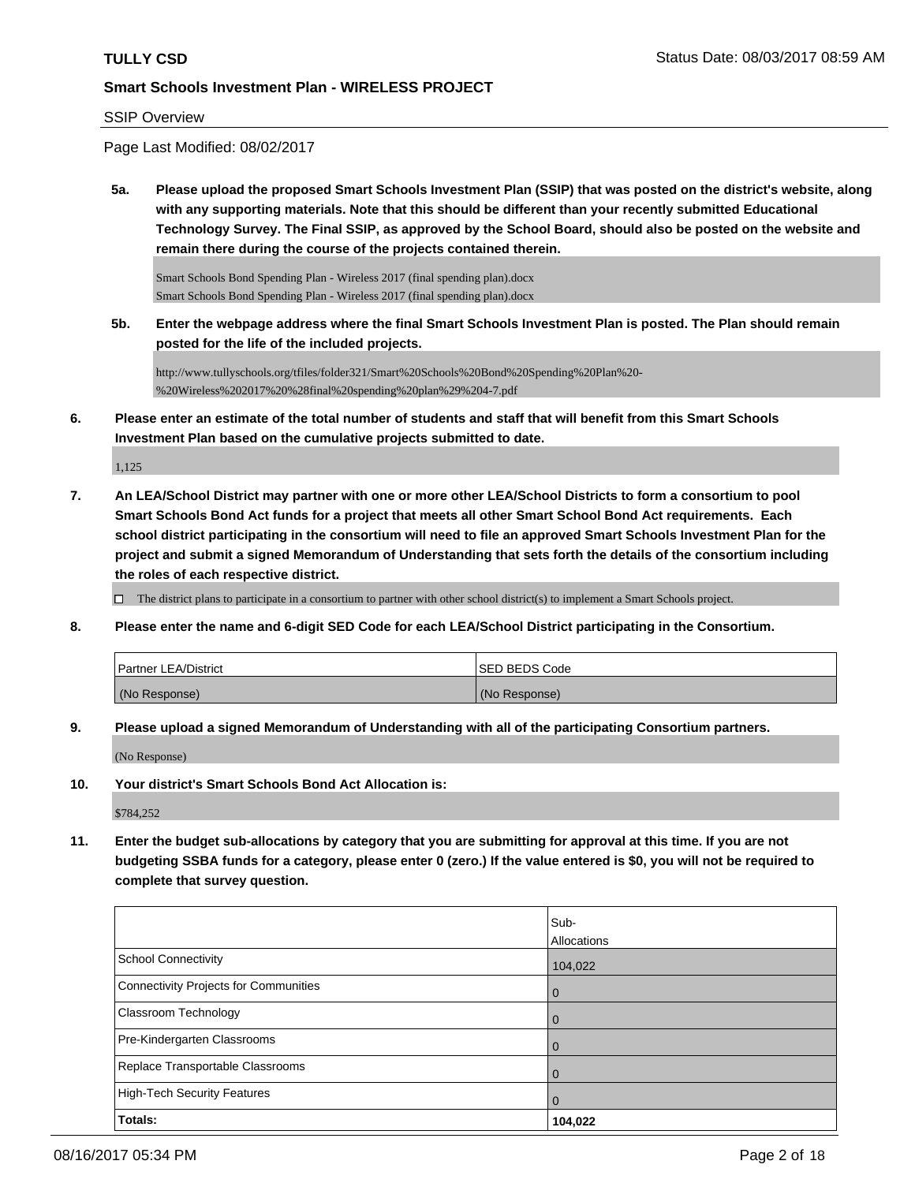#### SSIP Overview

Page Last Modified: 08/02/2017

**5a. Please upload the proposed Smart Schools Investment Plan (SSIP) that was posted on the district's website, along with any supporting materials. Note that this should be different than your recently submitted Educational Technology Survey. The Final SSIP, as approved by the School Board, should also be posted on the website and remain there during the course of the projects contained therein.**

Smart Schools Bond Spending Plan - Wireless 2017 (final spending plan).docx Smart Schools Bond Spending Plan - Wireless 2017 (final spending plan).docx

**5b. Enter the webpage address where the final Smart Schools Investment Plan is posted. The Plan should remain posted for the life of the included projects.**

http://www.tullyschools.org/tfiles/folder321/Smart%20Schools%20Bond%20Spending%20Plan%20- %20Wireless%202017%20%28final%20spending%20plan%29%204-7.pdf

**6. Please enter an estimate of the total number of students and staff that will benefit from this Smart Schools Investment Plan based on the cumulative projects submitted to date.**

1,125

**7. An LEA/School District may partner with one or more other LEA/School Districts to form a consortium to pool Smart Schools Bond Act funds for a project that meets all other Smart School Bond Act requirements. Each school district participating in the consortium will need to file an approved Smart Schools Investment Plan for the project and submit a signed Memorandum of Understanding that sets forth the details of the consortium including the roles of each respective district.**

 $\Box$  The district plans to participate in a consortium to partner with other school district(s) to implement a Smart Schools project.

**8. Please enter the name and 6-digit SED Code for each LEA/School District participating in the Consortium.**

| <b>Partner LEA/District</b> | ISED BEDS Code |
|-----------------------------|----------------|
| (No Response)               | (No Response)  |

**9. Please upload a signed Memorandum of Understanding with all of the participating Consortium partners.**

(No Response)

**10. Your district's Smart Schools Bond Act Allocation is:**

\$784,252

**11. Enter the budget sub-allocations by category that you are submitting for approval at this time. If you are not budgeting SSBA funds for a category, please enter 0 (zero.) If the value entered is \$0, you will not be required to complete that survey question.**

|                                              | Sub-        |
|----------------------------------------------|-------------|
|                                              | Allocations |
| <b>School Connectivity</b>                   | 104,022     |
| <b>Connectivity Projects for Communities</b> | 0           |
| Classroom Technology                         | 0           |
| Pre-Kindergarten Classrooms                  | $\Omega$    |
| Replace Transportable Classrooms             | 0           |
| <b>High-Tech Security Features</b>           | 0           |
| Totals:                                      | 104,022     |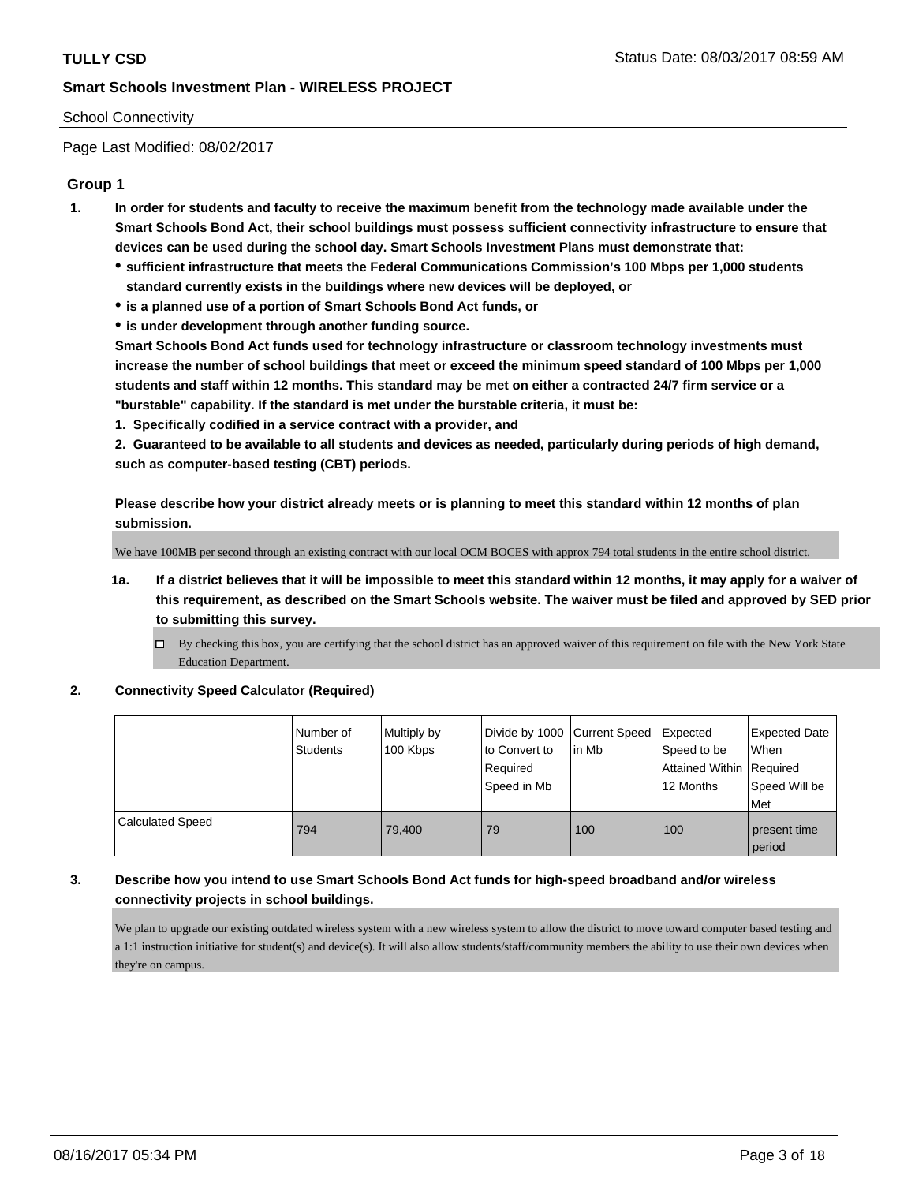#### School Connectivity

Page Last Modified: 08/02/2017

#### **Group 1**

- **1. In order for students and faculty to receive the maximum benefit from the technology made available under the Smart Schools Bond Act, their school buildings must possess sufficient connectivity infrastructure to ensure that devices can be used during the school day. Smart Schools Investment Plans must demonstrate that:**
	- **sufficient infrastructure that meets the Federal Communications Commission's 100 Mbps per 1,000 students standard currently exists in the buildings where new devices will be deployed, or**
	- **is a planned use of a portion of Smart Schools Bond Act funds, or**
	- **is under development through another funding source.**

**Smart Schools Bond Act funds used for technology infrastructure or classroom technology investments must increase the number of school buildings that meet or exceed the minimum speed standard of 100 Mbps per 1,000 students and staff within 12 months. This standard may be met on either a contracted 24/7 firm service or a "burstable" capability. If the standard is met under the burstable criteria, it must be:**

**1. Specifically codified in a service contract with a provider, and**

**2. Guaranteed to be available to all students and devices as needed, particularly during periods of high demand, such as computer-based testing (CBT) periods.**

**Please describe how your district already meets or is planning to meet this standard within 12 months of plan submission.**

We have 100MB per second through an existing contract with our local OCM BOCES with approx 794 total students in the entire school district.

- **1a. If a district believes that it will be impossible to meet this standard within 12 months, it may apply for a waiver of this requirement, as described on the Smart Schools website. The waiver must be filed and approved by SED prior to submitting this survey.**
	- By checking this box, you are certifying that the school district has an approved waiver of this requirement on file with the New York State Education Department.

#### **2. Connectivity Speed Calculator (Required)**

|                         | l Number of<br>Students | Multiply by<br>100 Kbps | Divide by 1000   Current Speed<br>to Convert to<br>Required<br>Speed in Mb | l in Mb | Expected<br>Speed to be<br>Attained Within   Required<br>12 Months | <b>Expected Date</b><br>When<br>Speed Will be<br>Met |
|-------------------------|-------------------------|-------------------------|----------------------------------------------------------------------------|---------|--------------------------------------------------------------------|------------------------------------------------------|
| <b>Calculated Speed</b> | 794                     | 79.400                  | 79                                                                         | 100     | 100                                                                | present time<br>period                               |

### **3. Describe how you intend to use Smart Schools Bond Act funds for high-speed broadband and/or wireless connectivity projects in school buildings.**

We plan to upgrade our existing outdated wireless system with a new wireless system to allow the district to move toward computer based testing and a 1:1 instruction initiative for student(s) and device(s). It will also allow students/staff/community members the ability to use their own devices when they're on campus.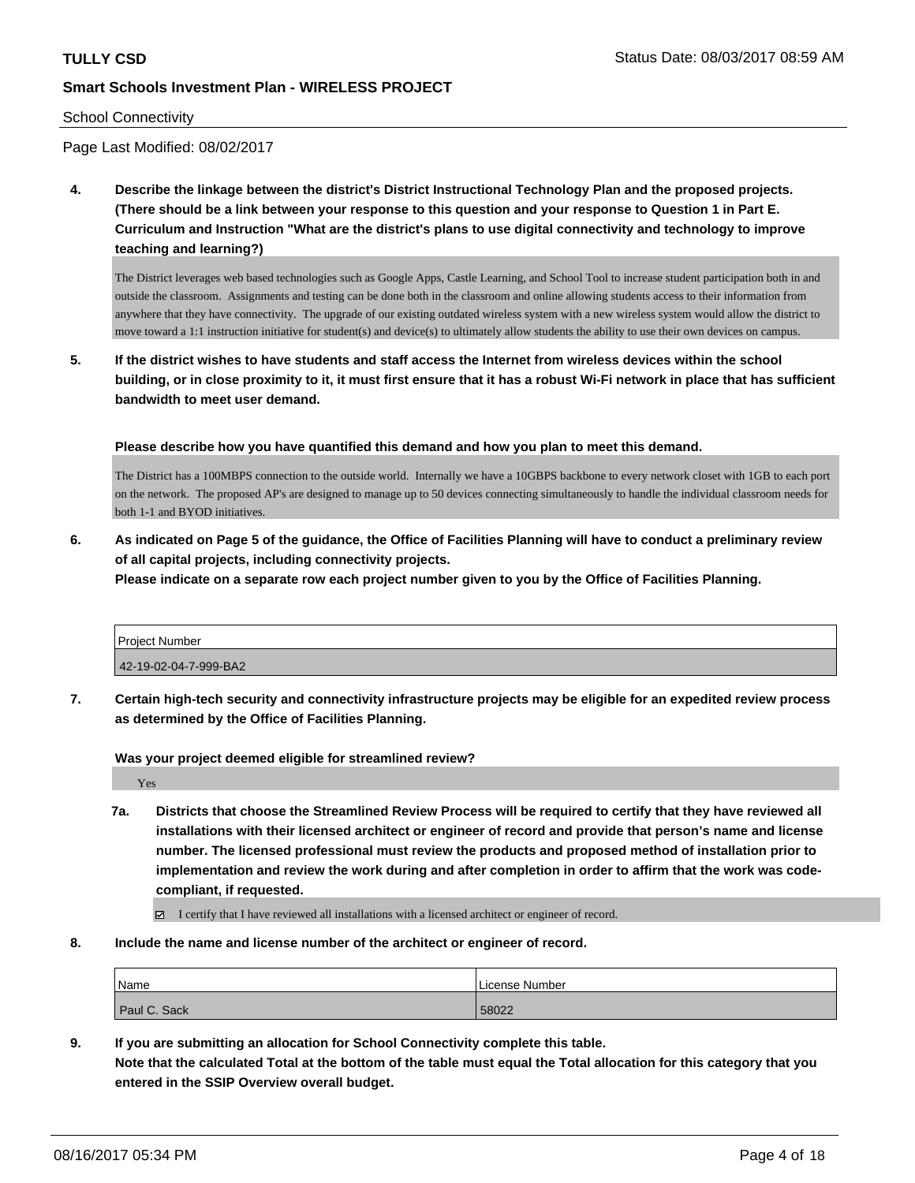#### School Connectivity

Page Last Modified: 08/02/2017

**4. Describe the linkage between the district's District Instructional Technology Plan and the proposed projects. (There should be a link between your response to this question and your response to Question 1 in Part E. Curriculum and Instruction "What are the district's plans to use digital connectivity and technology to improve teaching and learning?)**

The District leverages web based technologies such as Google Apps, Castle Learning, and School Tool to increase student participation both in and outside the classroom. Assignments and testing can be done both in the classroom and online allowing students access to their information from anywhere that they have connectivity. The upgrade of our existing outdated wireless system with a new wireless system would allow the district to move toward a 1:1 instruction initiative for student(s) and device(s) to ultimately allow students the ability to use their own devices on campus.

**5. If the district wishes to have students and staff access the Internet from wireless devices within the school building, or in close proximity to it, it must first ensure that it has a robust Wi-Fi network in place that has sufficient bandwidth to meet user demand.**

**Please describe how you have quantified this demand and how you plan to meet this demand.**

The District has a 100MBPS connection to the outside world. Internally we have a 10GBPS backbone to every network closet with 1GB to each port on the network. The proposed AP's are designed to manage up to 50 devices connecting simultaneously to handle the individual classroom needs for both 1-1 and BYOD initiatives.

**6. As indicated on Page 5 of the guidance, the Office of Facilities Planning will have to conduct a preliminary review of all capital projects, including connectivity projects.**

**Please indicate on a separate row each project number given to you by the Office of Facilities Planning.**

| <b>Project Number</b> |  |
|-----------------------|--|
| 42-19-02-04-7-999-BA2 |  |

**7. Certain high-tech security and connectivity infrastructure projects may be eligible for an expedited review process as determined by the Office of Facilities Planning.**

**Was your project deemed eligible for streamlined review?**

Yes

**7a. Districts that choose the Streamlined Review Process will be required to certify that they have reviewed all installations with their licensed architect or engineer of record and provide that person's name and license number. The licensed professional must review the products and proposed method of installation prior to implementation and review the work during and after completion in order to affirm that the work was codecompliant, if requested.**

I certify that I have reviewed all installations with a licensed architect or engineer of record.

**8. Include the name and license number of the architect or engineer of record.**

| Name         | License Number |
|--------------|----------------|
| Paul C. Sack | 58022          |

**9. If you are submitting an allocation for School Connectivity complete this table. Note that the calculated Total at the bottom of the table must equal the Total allocation for this category that you entered in the SSIP Overview overall budget.**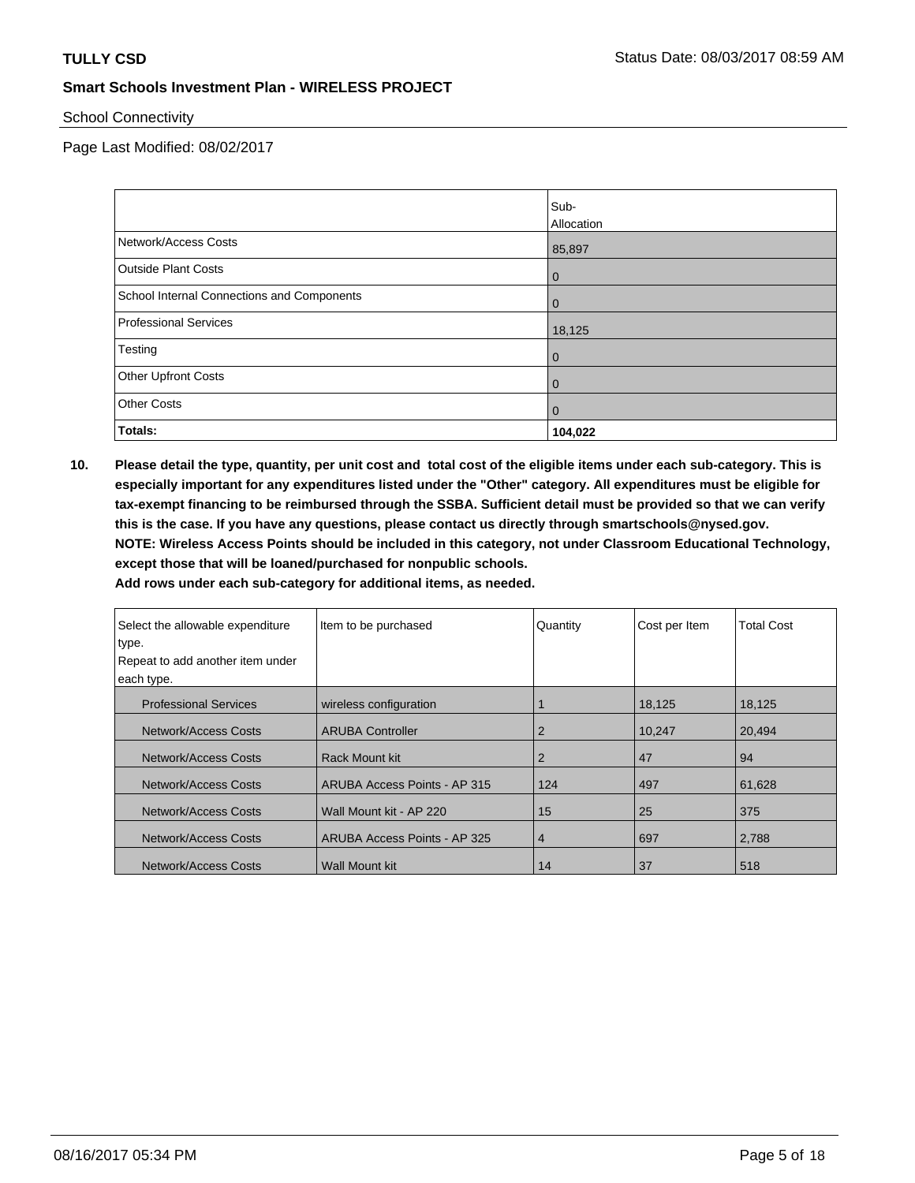School Connectivity

Page Last Modified: 08/02/2017

|                                            | Sub-           |
|--------------------------------------------|----------------|
|                                            | Allocation     |
| Network/Access Costs                       | 85,897         |
| <b>Outside Plant Costs</b>                 | $\overline{0}$ |
| School Internal Connections and Components | $\overline{0}$ |
| <b>Professional Services</b>               | 18,125         |
| Testing                                    | $\overline{0}$ |
| <b>Other Upfront Costs</b>                 | $\overline{0}$ |
| <b>Other Costs</b>                         | $\overline{0}$ |
| <b>Totals:</b>                             | 104,022        |

**10. Please detail the type, quantity, per unit cost and total cost of the eligible items under each sub-category. This is especially important for any expenditures listed under the "Other" category. All expenditures must be eligible for tax-exempt financing to be reimbursed through the SSBA. Sufficient detail must be provided so that we can verify this is the case. If you have any questions, please contact us directly through smartschools@nysed.gov. NOTE: Wireless Access Points should be included in this category, not under Classroom Educational Technology, except those that will be loaned/purchased for nonpublic schools.**

| Select the allowable expenditure<br>type. | Item to be purchased         | Quantity       | Cost per Item | <b>Total Cost</b> |
|-------------------------------------------|------------------------------|----------------|---------------|-------------------|
| Repeat to add another item under          |                              |                |               |                   |
|                                           |                              |                |               |                   |
| each type.                                |                              |                |               |                   |
| <b>Professional Services</b>              | wireless configuration       |                | 18,125        | 18,125            |
| Network/Access Costs                      | <b>ARUBA Controller</b>      | 2              | 10.247        | 20.494            |
| Network/Access Costs                      | Rack Mount kit               | 2              | 47            | 94                |
| Network/Access Costs                      | ARUBA Access Points - AP 315 | 124            | 497           | 61,628            |
| Network/Access Costs                      | Wall Mount kit - AP 220      | 15             | 25            | 375               |
| Network/Access Costs                      | ARUBA Access Points - AP 325 | $\overline{4}$ | 697           | 2,788             |
| Network/Access Costs                      | Wall Mount kit               | 14             | 37            | 518               |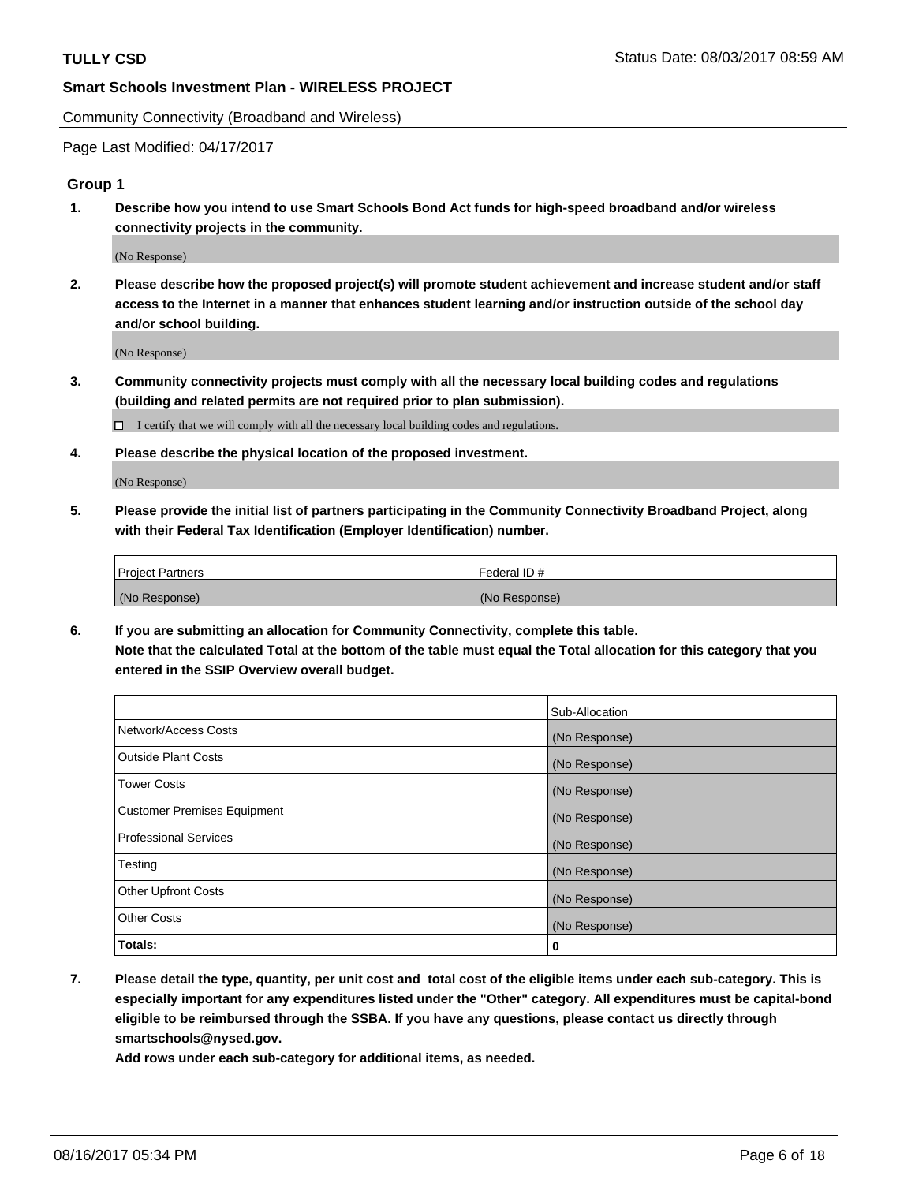Community Connectivity (Broadband and Wireless)

Page Last Modified: 04/17/2017

### **Group 1**

**1. Describe how you intend to use Smart Schools Bond Act funds for high-speed broadband and/or wireless connectivity projects in the community.**

(No Response)

**2. Please describe how the proposed project(s) will promote student achievement and increase student and/or staff access to the Internet in a manner that enhances student learning and/or instruction outside of the school day and/or school building.**

(No Response)

**3. Community connectivity projects must comply with all the necessary local building codes and regulations (building and related permits are not required prior to plan submission).**

 $\Box$  I certify that we will comply with all the necessary local building codes and regulations.

**4. Please describe the physical location of the proposed investment.**

(No Response)

**5. Please provide the initial list of partners participating in the Community Connectivity Broadband Project, along with their Federal Tax Identification (Employer Identification) number.**

| <b>Project Partners</b> | Federal ID#     |
|-------------------------|-----------------|
| (No Response)           | l (No Response) |

**6. If you are submitting an allocation for Community Connectivity, complete this table. Note that the calculated Total at the bottom of the table must equal the Total allocation for this category that you entered in the SSIP Overview overall budget.**

|                                    | Sub-Allocation |
|------------------------------------|----------------|
| Network/Access Costs               | (No Response)  |
| Outside Plant Costs                | (No Response)  |
| <b>Tower Costs</b>                 | (No Response)  |
| <b>Customer Premises Equipment</b> | (No Response)  |
| <b>Professional Services</b>       | (No Response)  |
| Testing                            | (No Response)  |
| <b>Other Upfront Costs</b>         | (No Response)  |
| <b>Other Costs</b>                 | (No Response)  |
| Totals:                            | 0              |

**7. Please detail the type, quantity, per unit cost and total cost of the eligible items under each sub-category. This is especially important for any expenditures listed under the "Other" category. All expenditures must be capital-bond eligible to be reimbursed through the SSBA. If you have any questions, please contact us directly through smartschools@nysed.gov.**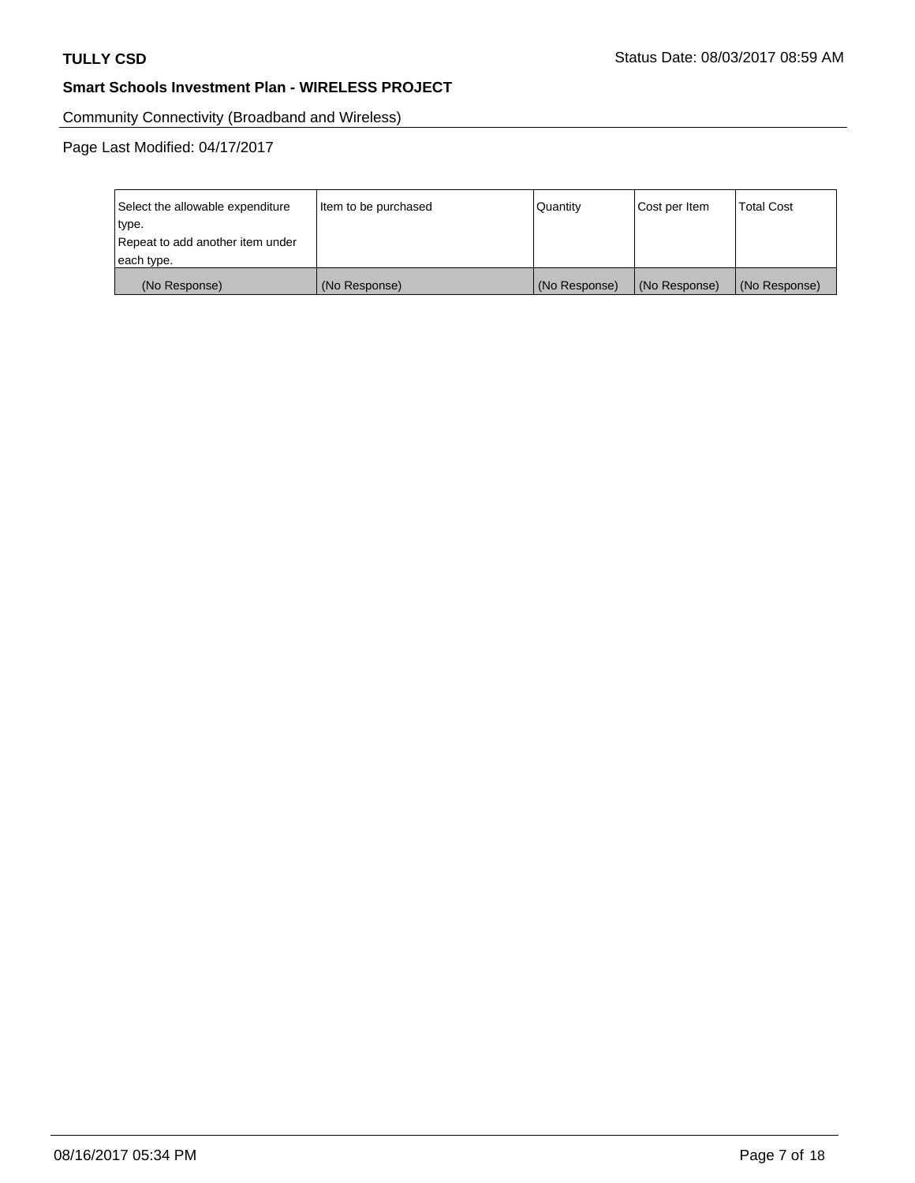Community Connectivity (Broadband and Wireless)

| Select the allowable expenditure | Item to be purchased | Quantity      | Cost per Item | <b>Total Cost</b> |
|----------------------------------|----------------------|---------------|---------------|-------------------|
| type.                            |                      |               |               |                   |
| Repeat to add another item under |                      |               |               |                   |
| each type.                       |                      |               |               |                   |
| (No Response)                    | (No Response)        | (No Response) | (No Response) | (No Response)     |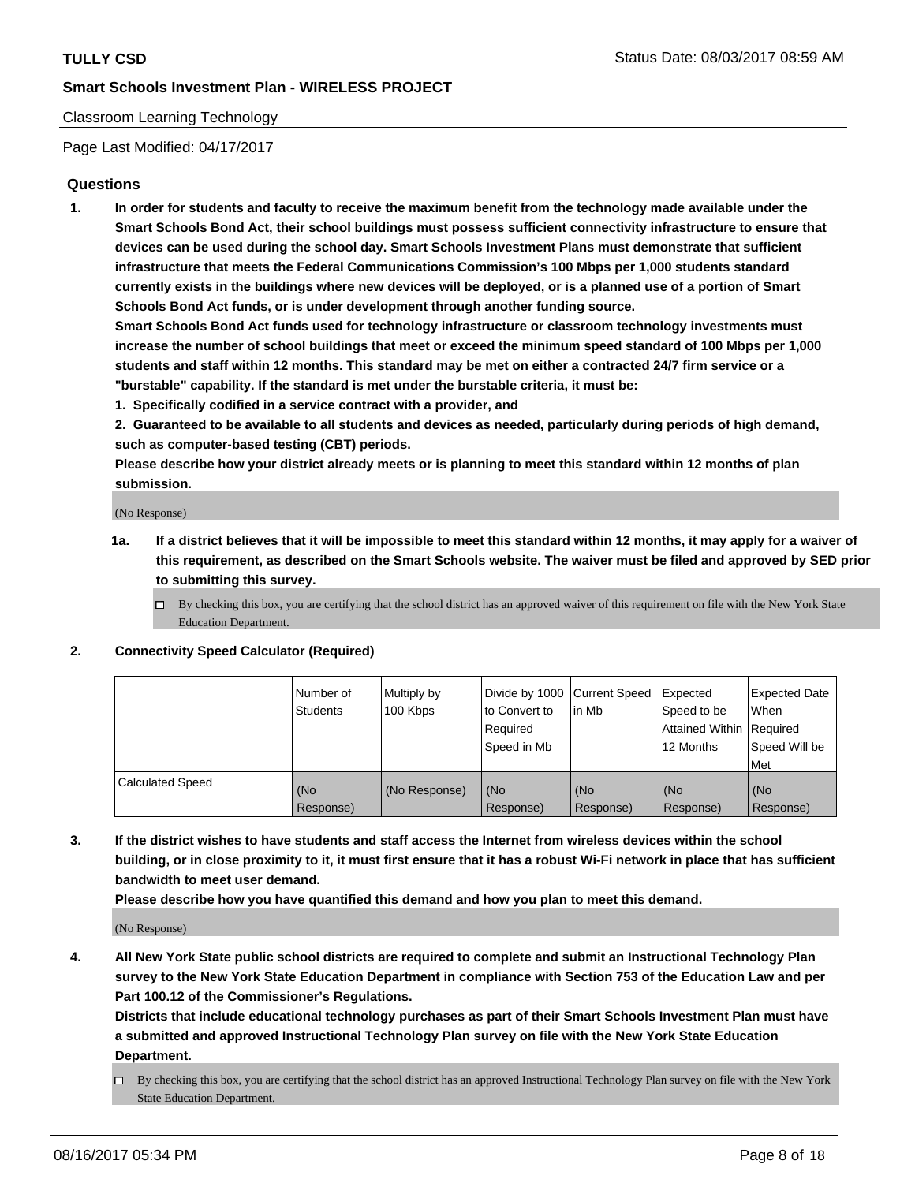#### Classroom Learning Technology

Page Last Modified: 04/17/2017

### **Questions**

**1. In order for students and faculty to receive the maximum benefit from the technology made available under the Smart Schools Bond Act, their school buildings must possess sufficient connectivity infrastructure to ensure that devices can be used during the school day. Smart Schools Investment Plans must demonstrate that sufficient infrastructure that meets the Federal Communications Commission's 100 Mbps per 1,000 students standard currently exists in the buildings where new devices will be deployed, or is a planned use of a portion of Smart Schools Bond Act funds, or is under development through another funding source.**

**Smart Schools Bond Act funds used for technology infrastructure or classroom technology investments must increase the number of school buildings that meet or exceed the minimum speed standard of 100 Mbps per 1,000 students and staff within 12 months. This standard may be met on either a contracted 24/7 firm service or a "burstable" capability. If the standard is met under the burstable criteria, it must be:**

- **1. Specifically codified in a service contract with a provider, and**
- **2. Guaranteed to be available to all students and devices as needed, particularly during periods of high demand, such as computer-based testing (CBT) periods.**

**Please describe how your district already meets or is planning to meet this standard within 12 months of plan submission.**

(No Response)

- **1a. If a district believes that it will be impossible to meet this standard within 12 months, it may apply for a waiver of this requirement, as described on the Smart Schools website. The waiver must be filed and approved by SED prior to submitting this survey.**
	- $\Box$  By checking this box, you are certifying that the school district has an approved waiver of this requirement on file with the New York State Education Department.

#### **2. Connectivity Speed Calculator (Required)**

|                         | l Number of<br>Students | Multiply by<br>100 Kbps | Divide by 1000   Current Speed<br>to Convert to<br>Required<br>Speed in Mb | lin Mb           | Expected<br>Speed to be<br>Attained Within Required<br>12 Months | <b>Expected Date</b><br>When<br>Speed Will be<br>Met |
|-------------------------|-------------------------|-------------------------|----------------------------------------------------------------------------|------------------|------------------------------------------------------------------|------------------------------------------------------|
| <b>Calculated Speed</b> | (No<br>Response)        | (No Response)           | (No<br>Response)                                                           | (No<br>Response) | (No<br>Response)                                                 | (No<br>Response)                                     |

**3. If the district wishes to have students and staff access the Internet from wireless devices within the school building, or in close proximity to it, it must first ensure that it has a robust Wi-Fi network in place that has sufficient bandwidth to meet user demand.**

**Please describe how you have quantified this demand and how you plan to meet this demand.**

(No Response)

**4. All New York State public school districts are required to complete and submit an Instructional Technology Plan survey to the New York State Education Department in compliance with Section 753 of the Education Law and per Part 100.12 of the Commissioner's Regulations.**

**Districts that include educational technology purchases as part of their Smart Schools Investment Plan must have a submitted and approved Instructional Technology Plan survey on file with the New York State Education Department.**

 $\Box$  By checking this box, you are certifying that the school district has an approved Instructional Technology Plan survey on file with the New York State Education Department.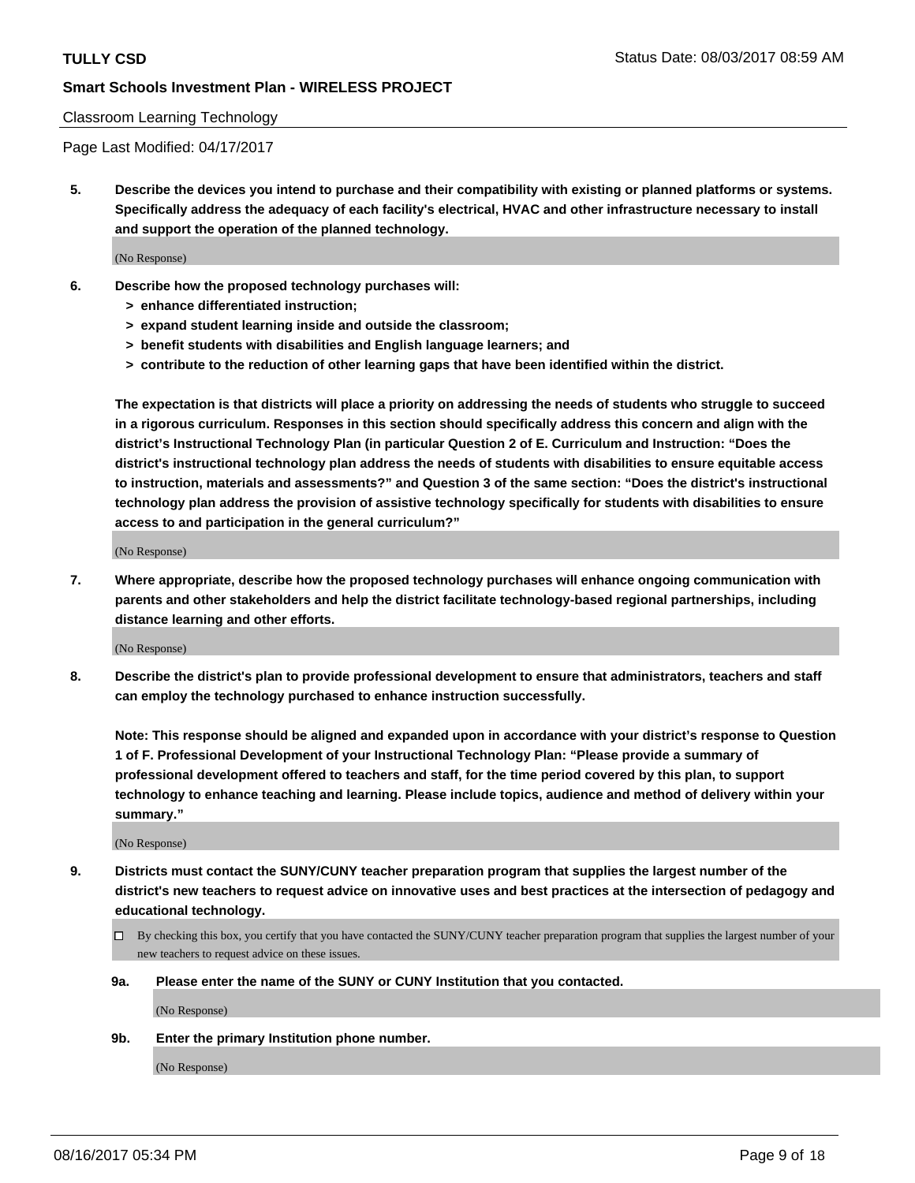#### Classroom Learning Technology

Page Last Modified: 04/17/2017

**5. Describe the devices you intend to purchase and their compatibility with existing or planned platforms or systems. Specifically address the adequacy of each facility's electrical, HVAC and other infrastructure necessary to install and support the operation of the planned technology.**

(No Response)

- **6. Describe how the proposed technology purchases will:**
	- **> enhance differentiated instruction;**
	- **> expand student learning inside and outside the classroom;**
	- **> benefit students with disabilities and English language learners; and**
	- **> contribute to the reduction of other learning gaps that have been identified within the district.**

**The expectation is that districts will place a priority on addressing the needs of students who struggle to succeed in a rigorous curriculum. Responses in this section should specifically address this concern and align with the district's Instructional Technology Plan (in particular Question 2 of E. Curriculum and Instruction: "Does the district's instructional technology plan address the needs of students with disabilities to ensure equitable access to instruction, materials and assessments?" and Question 3 of the same section: "Does the district's instructional technology plan address the provision of assistive technology specifically for students with disabilities to ensure access to and participation in the general curriculum?"**

(No Response)

**7. Where appropriate, describe how the proposed technology purchases will enhance ongoing communication with parents and other stakeholders and help the district facilitate technology-based regional partnerships, including distance learning and other efforts.**

(No Response)

**8. Describe the district's plan to provide professional development to ensure that administrators, teachers and staff can employ the technology purchased to enhance instruction successfully.**

**Note: This response should be aligned and expanded upon in accordance with your district's response to Question 1 of F. Professional Development of your Instructional Technology Plan: "Please provide a summary of professional development offered to teachers and staff, for the time period covered by this plan, to support technology to enhance teaching and learning. Please include topics, audience and method of delivery within your summary."**

(No Response)

- **9. Districts must contact the SUNY/CUNY teacher preparation program that supplies the largest number of the district's new teachers to request advice on innovative uses and best practices at the intersection of pedagogy and educational technology.**
	- By checking this box, you certify that you have contacted the SUNY/CUNY teacher preparation program that supplies the largest number of your new teachers to request advice on these issues.
	- **9a. Please enter the name of the SUNY or CUNY Institution that you contacted.**

(No Response)

**9b. Enter the primary Institution phone number.**

(No Response)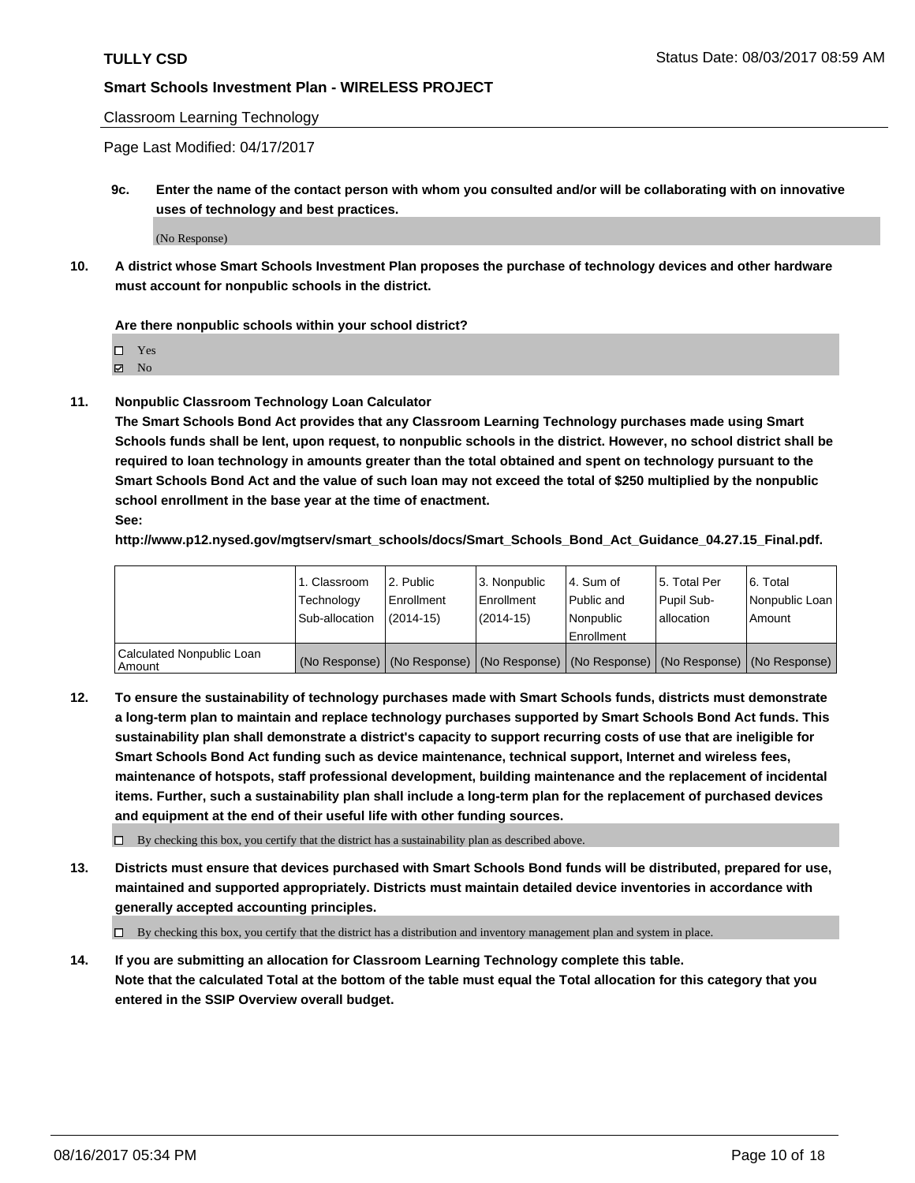Classroom Learning Technology

Page Last Modified: 04/17/2017

**9c. Enter the name of the contact person with whom you consulted and/or will be collaborating with on innovative uses of technology and best practices.**

(No Response)

**10. A district whose Smart Schools Investment Plan proposes the purchase of technology devices and other hardware must account for nonpublic schools in the district.**

**Are there nonpublic schools within your school district?**

Yes

 $\boxtimes$  No

**11. Nonpublic Classroom Technology Loan Calculator**

**The Smart Schools Bond Act provides that any Classroom Learning Technology purchases made using Smart Schools funds shall be lent, upon request, to nonpublic schools in the district. However, no school district shall be required to loan technology in amounts greater than the total obtained and spent on technology pursuant to the Smart Schools Bond Act and the value of such loan may not exceed the total of \$250 multiplied by the nonpublic school enrollment in the base year at the time of enactment.**

**See:**

**http://www.p12.nysed.gov/mgtserv/smart\_schools/docs/Smart\_Schools\_Bond\_Act\_Guidance\_04.27.15\_Final.pdf.**

|                                       | 1. Classroom   | 2. Public     | 3. Nonpublic | 14. Sum of  | 15. Total Per | l 6. Total                                                                                    |
|---------------------------------------|----------------|---------------|--------------|-------------|---------------|-----------------------------------------------------------------------------------------------|
|                                       | Technology     | Enrollment    | Enrollment   | Public and  | Pupil Sub-    | Nonpublic Loan                                                                                |
|                                       | Sub-allocation | $(2014 - 15)$ | (2014-15)    | l Nonpublic | allocation    | Amount                                                                                        |
|                                       |                |               |              | Enrollment  |               |                                                                                               |
| Calculated Nonpublic Loan<br>  Amount |                |               |              |             |               | (No Response)   (No Response)   (No Response)   (No Response)   (No Response)   (No Response) |

**12. To ensure the sustainability of technology purchases made with Smart Schools funds, districts must demonstrate a long-term plan to maintain and replace technology purchases supported by Smart Schools Bond Act funds. This sustainability plan shall demonstrate a district's capacity to support recurring costs of use that are ineligible for Smart Schools Bond Act funding such as device maintenance, technical support, Internet and wireless fees, maintenance of hotspots, staff professional development, building maintenance and the replacement of incidental items. Further, such a sustainability plan shall include a long-term plan for the replacement of purchased devices and equipment at the end of their useful life with other funding sources.**

 $\Box$  By checking this box, you certify that the district has a sustainability plan as described above.

**13. Districts must ensure that devices purchased with Smart Schools Bond funds will be distributed, prepared for use, maintained and supported appropriately. Districts must maintain detailed device inventories in accordance with generally accepted accounting principles.**

By checking this box, you certify that the district has a distribution and inventory management plan and system in place.

**14. If you are submitting an allocation for Classroom Learning Technology complete this table. Note that the calculated Total at the bottom of the table must equal the Total allocation for this category that you entered in the SSIP Overview overall budget.**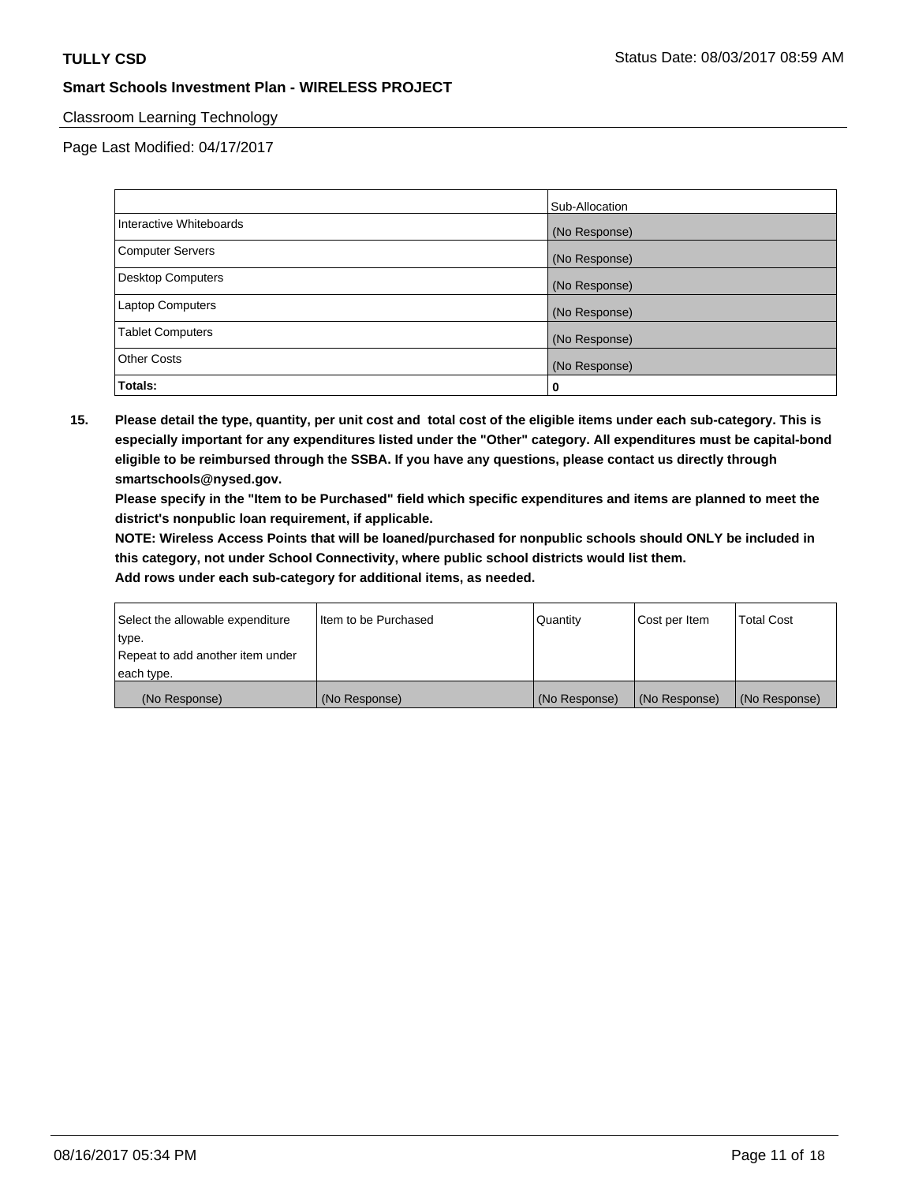### Classroom Learning Technology

Page Last Modified: 04/17/2017

|                          | Sub-Allocation |
|--------------------------|----------------|
| Interactive Whiteboards  | (No Response)  |
| Computer Servers         | (No Response)  |
| <b>Desktop Computers</b> | (No Response)  |
| <b>Laptop Computers</b>  | (No Response)  |
| <b>Tablet Computers</b>  | (No Response)  |
| <b>Other Costs</b>       | (No Response)  |
| Totals:                  | 0              |

**15. Please detail the type, quantity, per unit cost and total cost of the eligible items under each sub-category. This is especially important for any expenditures listed under the "Other" category. All expenditures must be capital-bond eligible to be reimbursed through the SSBA. If you have any questions, please contact us directly through smartschools@nysed.gov.**

**Please specify in the "Item to be Purchased" field which specific expenditures and items are planned to meet the district's nonpublic loan requirement, if applicable.**

**NOTE: Wireless Access Points that will be loaned/purchased for nonpublic schools should ONLY be included in this category, not under School Connectivity, where public school districts would list them.**

| Select the allowable expenditure<br>∣type. | Iltem to be Purchased | Quantity      | Cost per Item | <b>Total Cost</b> |
|--------------------------------------------|-----------------------|---------------|---------------|-------------------|
| Repeat to add another item under           |                       |               |               |                   |
| each type.                                 |                       |               |               |                   |
| (No Response)                              | (No Response)         | (No Response) | (No Response) | (No Response)     |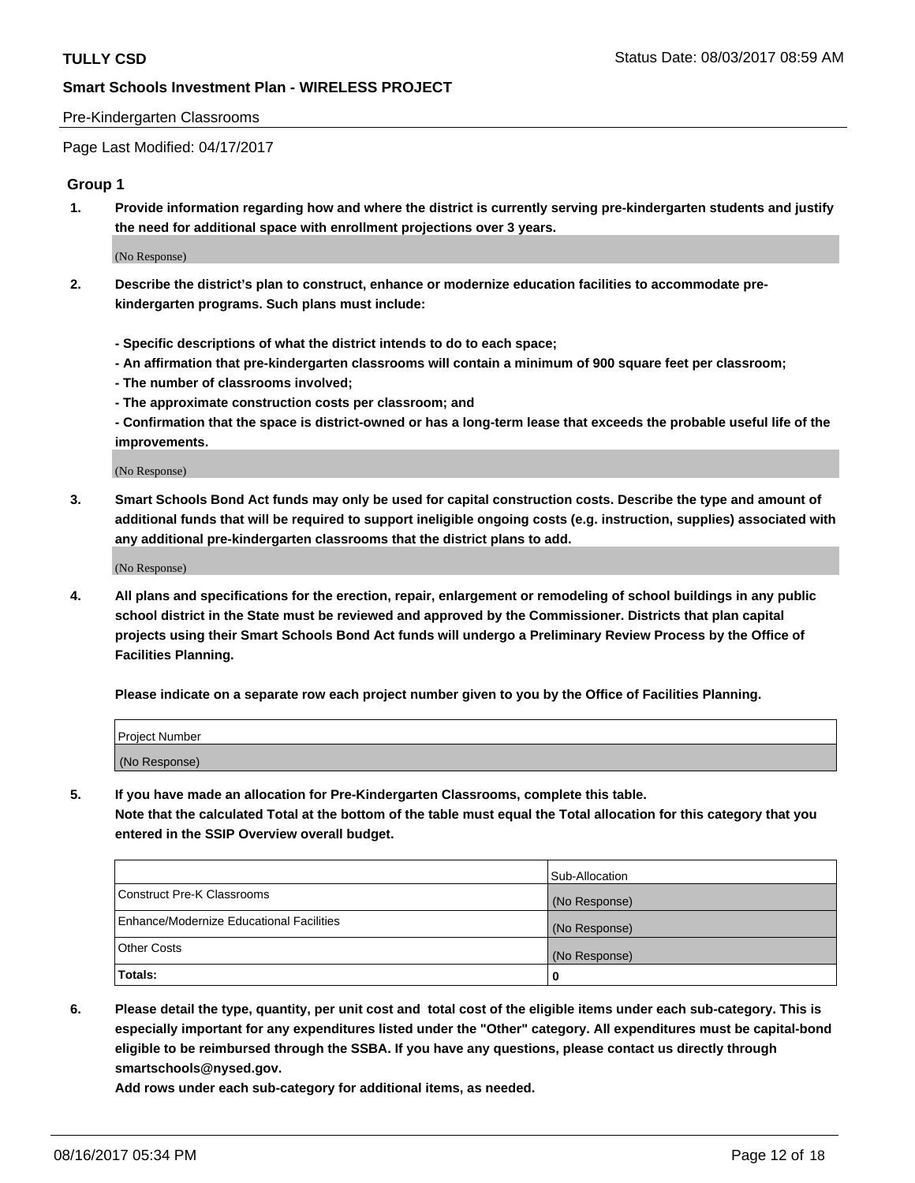#### Pre-Kindergarten Classrooms

Page Last Modified: 04/17/2017

#### **Group 1**

**1. Provide information regarding how and where the district is currently serving pre-kindergarten students and justify the need for additional space with enrollment projections over 3 years.**

(No Response)

- **2. Describe the district's plan to construct, enhance or modernize education facilities to accommodate prekindergarten programs. Such plans must include:**
	- **Specific descriptions of what the district intends to do to each space;**
	- **An affirmation that pre-kindergarten classrooms will contain a minimum of 900 square feet per classroom;**
	- **The number of classrooms involved;**
	- **The approximate construction costs per classroom; and**
	- **Confirmation that the space is district-owned or has a long-term lease that exceeds the probable useful life of the improvements.**

(No Response)

**3. Smart Schools Bond Act funds may only be used for capital construction costs. Describe the type and amount of additional funds that will be required to support ineligible ongoing costs (e.g. instruction, supplies) associated with any additional pre-kindergarten classrooms that the district plans to add.**

(No Response)

**4. All plans and specifications for the erection, repair, enlargement or remodeling of school buildings in any public school district in the State must be reviewed and approved by the Commissioner. Districts that plan capital projects using their Smart Schools Bond Act funds will undergo a Preliminary Review Process by the Office of Facilities Planning.**

**Please indicate on a separate row each project number given to you by the Office of Facilities Planning.**

| Project Number |  |
|----------------|--|
| (No Response)  |  |

**5. If you have made an allocation for Pre-Kindergarten Classrooms, complete this table. Note that the calculated Total at the bottom of the table must equal the Total allocation for this category that you entered in the SSIP Overview overall budget.**

| Totals:                                  | 0              |
|------------------------------------------|----------------|
| Other Costs                              | (No Response)  |
| Enhance/Modernize Educational Facilities | (No Response)  |
| Construct Pre-K Classrooms               | (No Response)  |
|                                          | Sub-Allocation |

**6. Please detail the type, quantity, per unit cost and total cost of the eligible items under each sub-category. This is especially important for any expenditures listed under the "Other" category. All expenditures must be capital-bond eligible to be reimbursed through the SSBA. If you have any questions, please contact us directly through smartschools@nysed.gov.**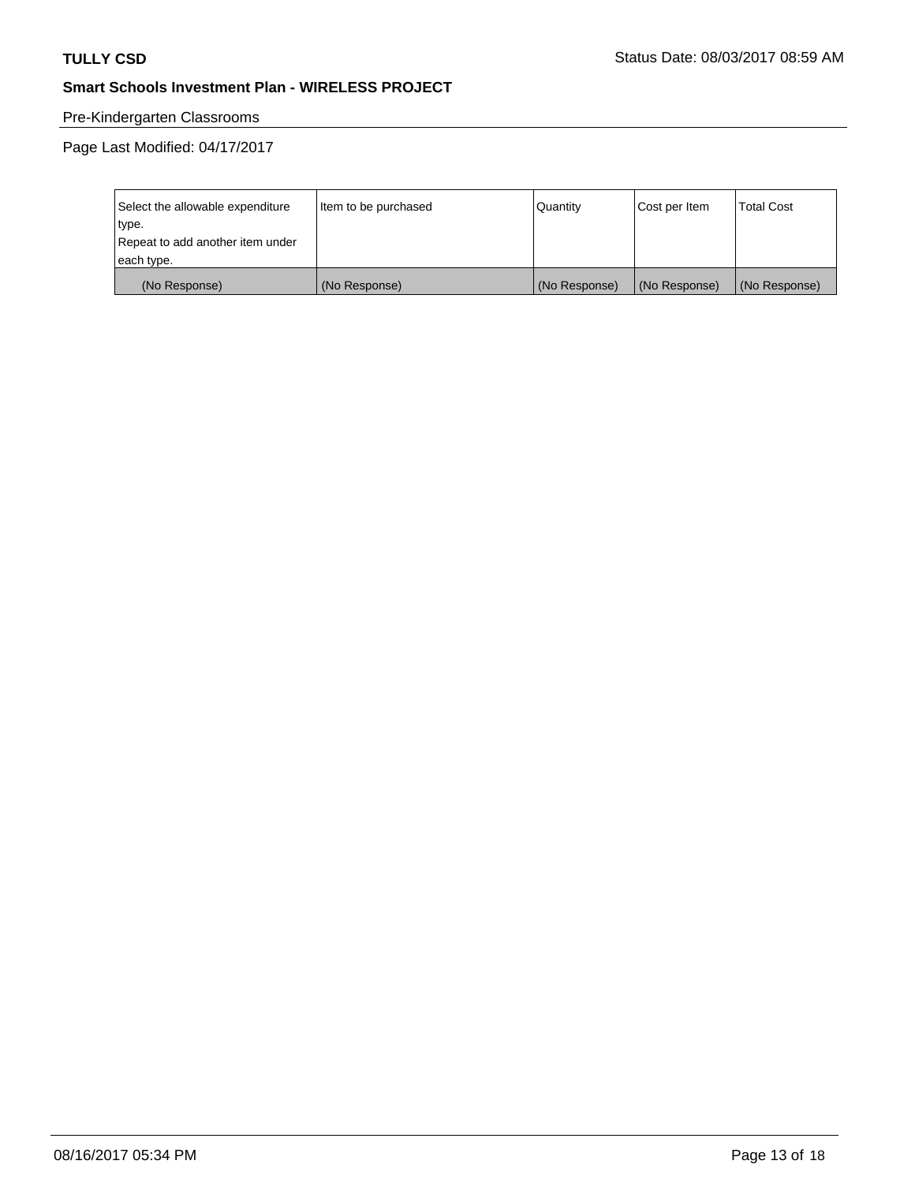# Pre-Kindergarten Classrooms

| Select the allowable expenditure | Item to be purchased | Quantity      | Cost per Item | <b>Total Cost</b> |
|----------------------------------|----------------------|---------------|---------------|-------------------|
| type.                            |                      |               |               |                   |
| Repeat to add another item under |                      |               |               |                   |
| each type.                       |                      |               |               |                   |
| (No Response)                    | (No Response)        | (No Response) | (No Response) | (No Response)     |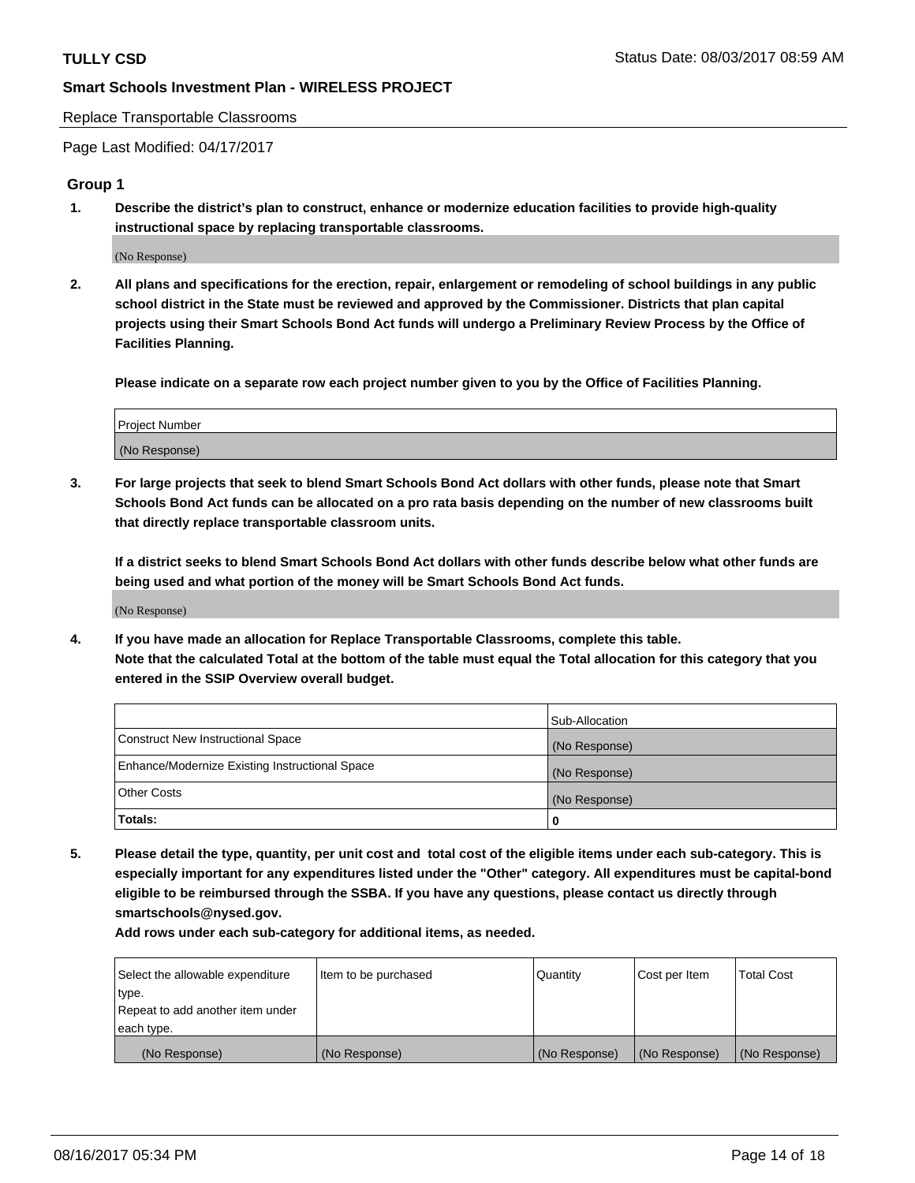#### Replace Transportable Classrooms

Page Last Modified: 04/17/2017

#### **Group 1**

**1. Describe the district's plan to construct, enhance or modernize education facilities to provide high-quality instructional space by replacing transportable classrooms.**

(No Response)

**2. All plans and specifications for the erection, repair, enlargement or remodeling of school buildings in any public school district in the State must be reviewed and approved by the Commissioner. Districts that plan capital projects using their Smart Schools Bond Act funds will undergo a Preliminary Review Process by the Office of Facilities Planning.**

**Please indicate on a separate row each project number given to you by the Office of Facilities Planning.**

| Project Number |  |
|----------------|--|
| (No Response)  |  |

**3. For large projects that seek to blend Smart Schools Bond Act dollars with other funds, please note that Smart Schools Bond Act funds can be allocated on a pro rata basis depending on the number of new classrooms built that directly replace transportable classroom units.**

**If a district seeks to blend Smart Schools Bond Act dollars with other funds describe below what other funds are being used and what portion of the money will be Smart Schools Bond Act funds.**

(No Response)

**4. If you have made an allocation for Replace Transportable Classrooms, complete this table. Note that the calculated Total at the bottom of the table must equal the Total allocation for this category that you entered in the SSIP Overview overall budget.**

|                                                | Sub-Allocation |
|------------------------------------------------|----------------|
| Construct New Instructional Space              | (No Response)  |
| Enhance/Modernize Existing Instructional Space | (No Response)  |
| Other Costs                                    | (No Response)  |
| Totals:                                        | $\Omega$       |

**5. Please detail the type, quantity, per unit cost and total cost of the eligible items under each sub-category. This is especially important for any expenditures listed under the "Other" category. All expenditures must be capital-bond eligible to be reimbursed through the SSBA. If you have any questions, please contact us directly through smartschools@nysed.gov.**

| Select the allowable expenditure | Item to be purchased | Quantity      | Cost per Item | <b>Total Cost</b> |
|----------------------------------|----------------------|---------------|---------------|-------------------|
| type.                            |                      |               |               |                   |
| Repeat to add another item under |                      |               |               |                   |
| each type.                       |                      |               |               |                   |
| (No Response)                    | (No Response)        | (No Response) | (No Response) | (No Response)     |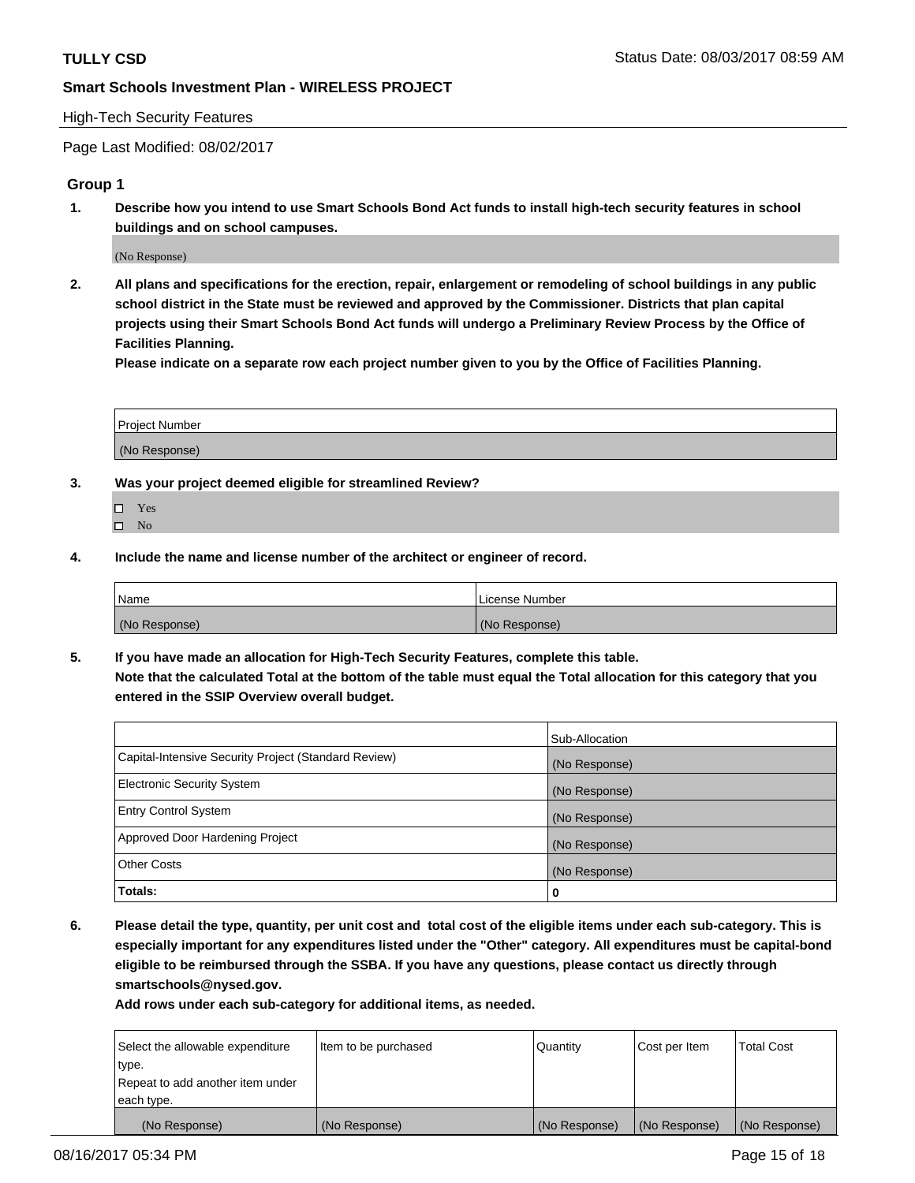#### High-Tech Security Features

Page Last Modified: 08/02/2017

### **Group 1**

**1. Describe how you intend to use Smart Schools Bond Act funds to install high-tech security features in school buildings and on school campuses.**

(No Response)

**2. All plans and specifications for the erection, repair, enlargement or remodeling of school buildings in any public school district in the State must be reviewed and approved by the Commissioner. Districts that plan capital projects using their Smart Schools Bond Act funds will undergo a Preliminary Review Process by the Office of Facilities Planning.** 

**Please indicate on a separate row each project number given to you by the Office of Facilities Planning.**

| Project Number |  |
|----------------|--|
|                |  |
| (No Response)  |  |

- **3. Was your project deemed eligible for streamlined Review?**
	- Yes  $\hfill \square$  No
- **4. Include the name and license number of the architect or engineer of record.**

| Name          | License Number |
|---------------|----------------|
| (No Response) | (No Response)  |

**5. If you have made an allocation for High-Tech Security Features, complete this table. Note that the calculated Total at the bottom of the table must equal the Total allocation for this category that you entered in the SSIP Overview overall budget.**

|                                                      | Sub-Allocation |
|------------------------------------------------------|----------------|
| Capital-Intensive Security Project (Standard Review) | (No Response)  |
| Electronic Security System                           | (No Response)  |
| <b>Entry Control System</b>                          | (No Response)  |
| Approved Door Hardening Project                      | (No Response)  |
| <b>Other Costs</b>                                   | (No Response)  |
| Totals:                                              | 0              |

**6. Please detail the type, quantity, per unit cost and total cost of the eligible items under each sub-category. This is especially important for any expenditures listed under the "Other" category. All expenditures must be capital-bond eligible to be reimbursed through the SSBA. If you have any questions, please contact us directly through smartschools@nysed.gov.**

| (No Response)                    | (No Response)        | (No Response) | (No Response) | (No Response)     |
|----------------------------------|----------------------|---------------|---------------|-------------------|
| each type.                       |                      |               |               |                   |
| Repeat to add another item under |                      |               |               |                   |
| type.                            |                      |               |               |                   |
| Select the allowable expenditure | Item to be purchased | Quantity      | Cost per Item | <b>Total Cost</b> |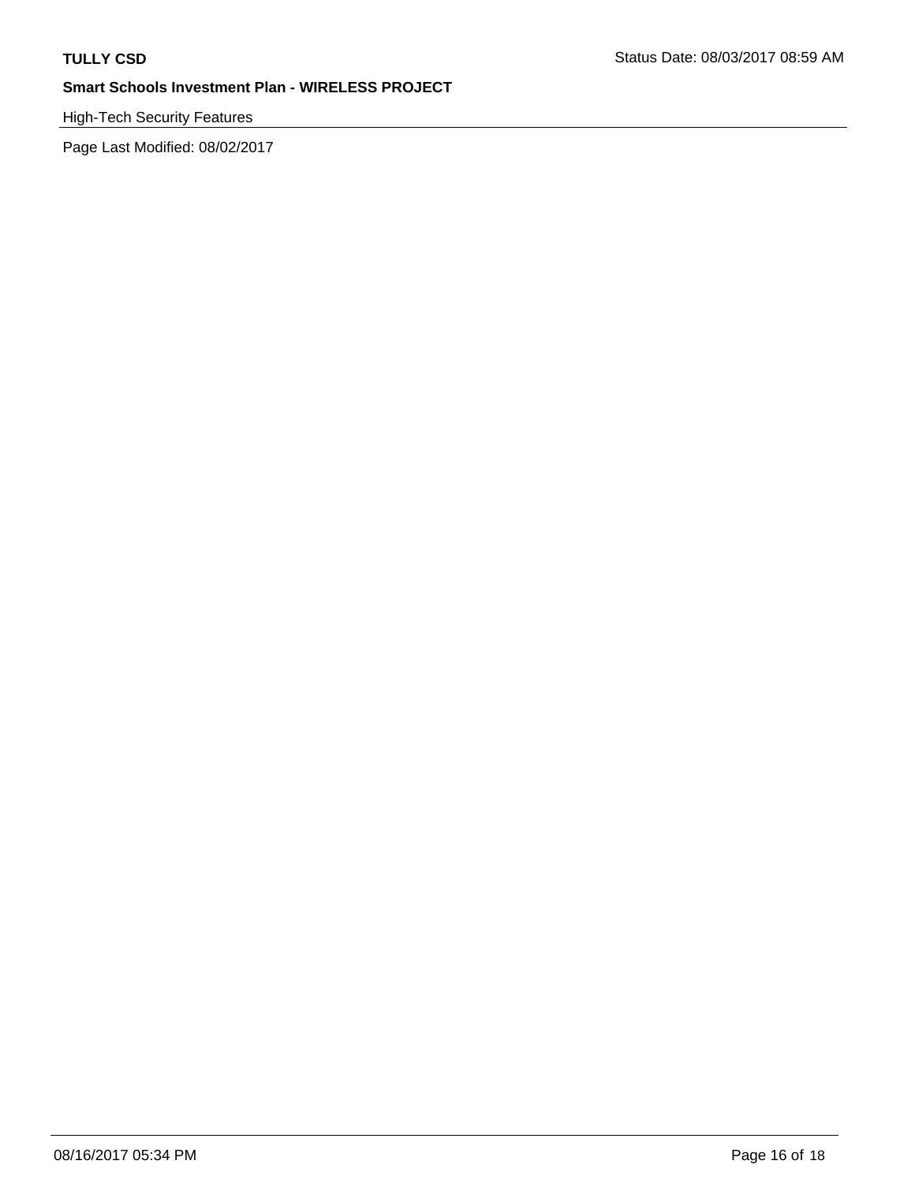# High-Tech Security Features

Page Last Modified: 08/02/2017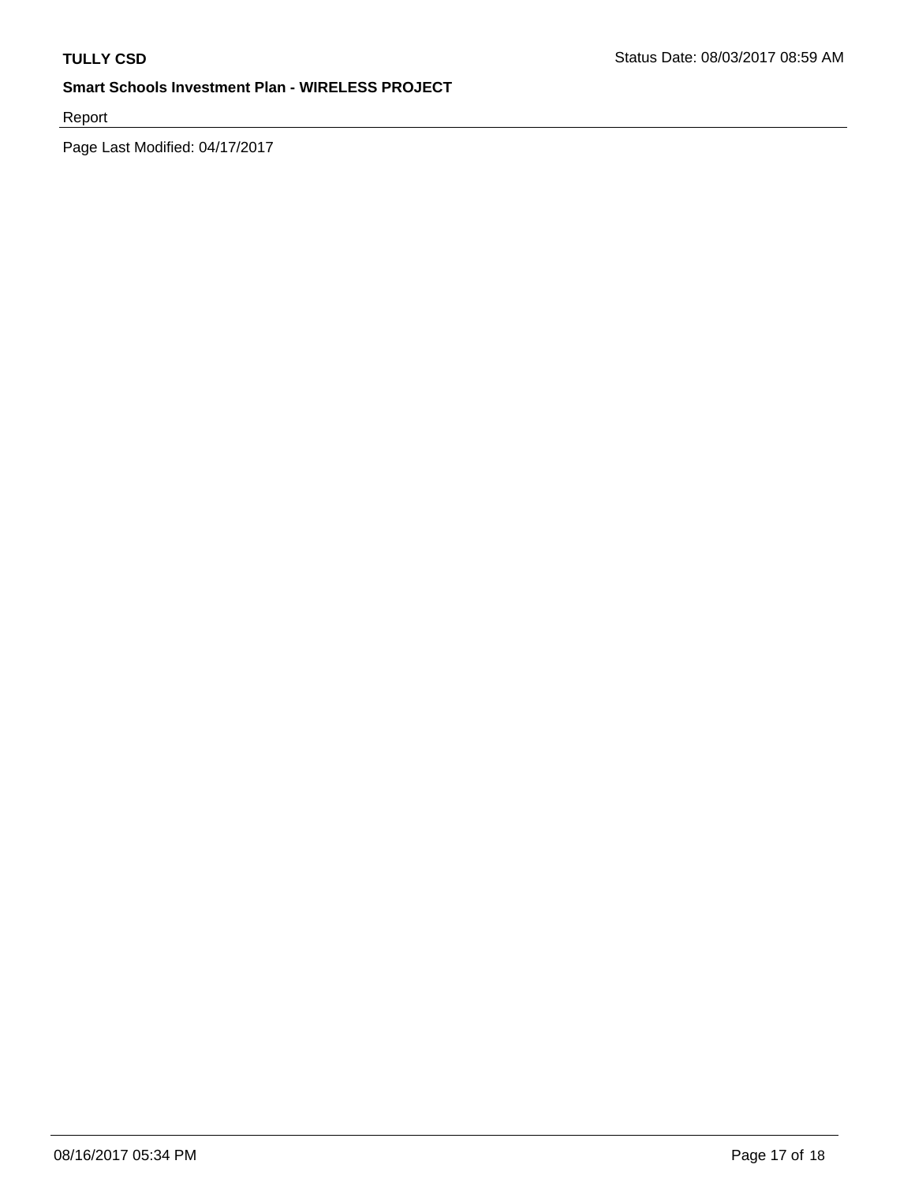Report